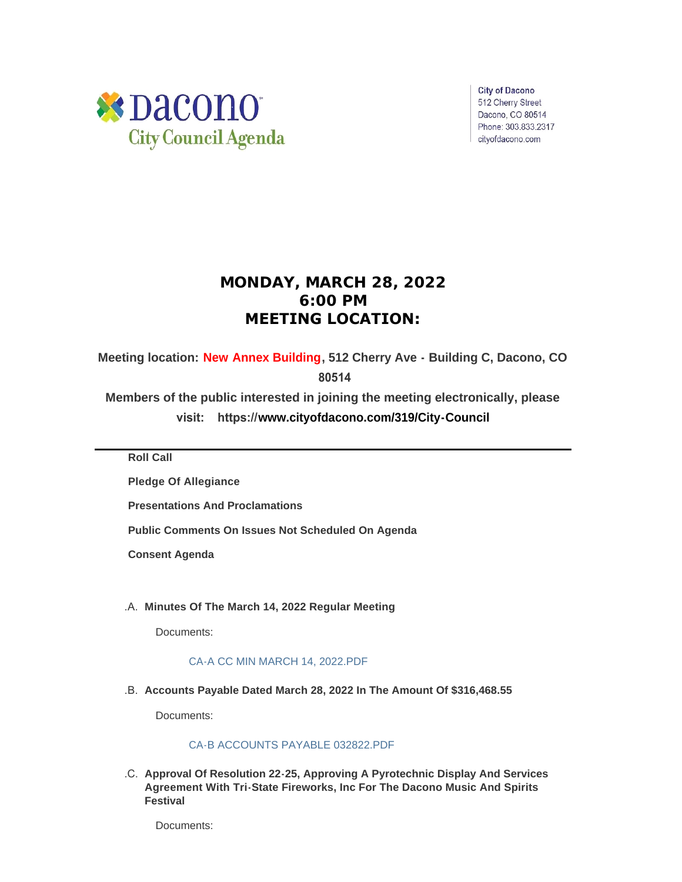

**City of Dacono** 512 Cherry Street Dacono, CO 80514 Phone: 303.833.2317 cityofdacono.com

# **MONDAY, MARCH 28, 2022 6:00 PM MEETING LOCATION:**

**Meeting location: New Annex Building, 512 Cherry Ave - Building C, Dacono, CO** 

 **80514**

**Members of the public interested in joining the meeting electronically, please visit: https://[www.cityofdacono.com/319/City-Council](http://www.cityofdacono.com/319/City-Council)**

**Roll Call**

**Pledge Of Allegiance** 

**Presentations And Proclamations**

**Public Comments On Issues Not Scheduled On Agenda**

**Consent Agenda**

**Minutes Of The March 14, 2022 Regular Meeting** .A.

Documents:

# [CA-A CC MIN MARCH 14, 2022.PDF](https://www.cityofdacono.com/AgendaCenter/ViewFile/Item/2023?fileID=2711)

**Accounts Payable Dated March 28, 2022 In The Amount Of \$316,468.55** .B.

Documents:

## [CA-B ACCOUNTS PAYABLE 032822.PDF](https://www.cityofdacono.com/AgendaCenter/ViewFile/Item/2024?fileID=2712)

**Approval Of Resolution 22-25, Approving A Pyrotechnic Display And Services**  .C. **Agreement With Tri-State Fireworks, Inc For The Dacono Music And Spirits Festival**

Documents: